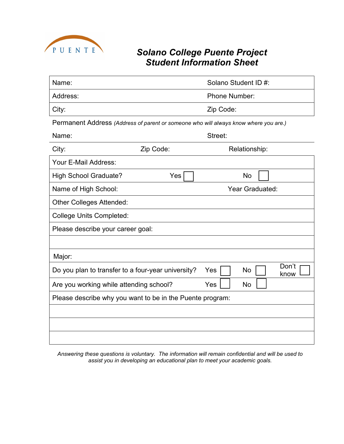

## *Solano College Puente Project Student Information Sheet*

| Name:                                                                                | Solano Student ID #: |                            |  |  |
|--------------------------------------------------------------------------------------|----------------------|----------------------------|--|--|
| Address:                                                                             |                      | <b>Phone Number:</b>       |  |  |
| City:                                                                                | Zip Code:            |                            |  |  |
| Permanent Address (Address of parent or someone who will always know where you are.) |                      |                            |  |  |
| Name:                                                                                |                      | Street:                    |  |  |
| City:                                                                                | Zip Code:            | Relationship:              |  |  |
| Your E-Mail Address:                                                                 |                      |                            |  |  |
| <b>High School Graduate?</b>                                                         | Yes                  | No                         |  |  |
| Name of High School:                                                                 |                      | Year Graduated:            |  |  |
| <b>Other Colleges Attended:</b>                                                      |                      |                            |  |  |
| <b>College Units Completed:</b>                                                      |                      |                            |  |  |
| Please describe your career goal:                                                    |                      |                            |  |  |
|                                                                                      |                      |                            |  |  |
| Major:                                                                               |                      |                            |  |  |
| Do you plan to transfer to a four-year university?                                   |                      | Don't<br>No<br>Yes<br>know |  |  |
| Are you working while attending school?                                              |                      | Yes<br><b>No</b>           |  |  |
| Please describe why you want to be in the Puente program:                            |                      |                            |  |  |
|                                                                                      |                      |                            |  |  |
|                                                                                      |                      |                            |  |  |
|                                                                                      |                      |                            |  |  |

*Answering these questions is voluntary. The information will remain confidential and will be used to assist you in developing an educational plan to meet your academic goals.*